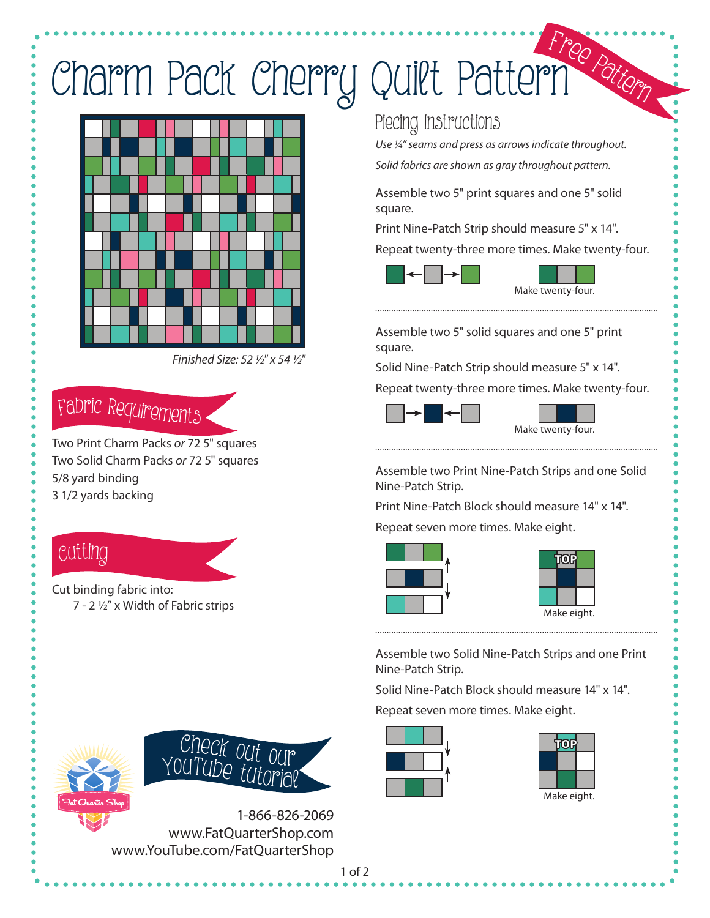# Charm Pack Cherry Quilt Pattern <sup>F</sup>re<sup>e</sup> <sup>P</sup>atter<sup>n</sup>



Finished Size: 52 ½" x 54 ½"

### <sup>F</sup>abri<sup>c</sup> <sup>R</sup><sup>e</sup>quirement<sup>s</sup>

Two Print Charm Packs or 72 5" squares Two Solid Charm Packs or 72 5" squares 5/8 yard binding 3 1/2 yards backing

### Cutti<sup>n</sup>g

Cut binding fabric into: 7 - 2 ½" x Width of Fabric strips

#### Piecing Instructions

Use ¼" seams and press as arrows indicate throughout. Solid fabrics are shown as gray throughout pattern.

Assemble two 5" print squares and one 5" solid square.

Print Nine-Patch Strip should measure 5" x 14".

Repeat twenty-three more times. Make twenty-four.



Assemble two 5" solid squares and one 5" print square.

Solid Nine-Patch Strip should measure 5" x 14".

Repeat twenty-three more times. Make twenty-four.



Assemble two Print Nine-Patch Strips and one Solid Nine-Patch Strip.

Print Nine-Patch Block should measure 14" x 14".

Repeat seven more times. Make eight.



| TOP         |  |  |
|-------------|--|--|
|             |  |  |
|             |  |  |
| Make eight. |  |  |

Assemble two Solid Nine-Patch Strips and one Print Nine-Patch Strip.

Solid Nine-Patch Block should measure 14" x 14". Repeat seven more times. Make eight.









1-866-826-2069 www.FatQuarterShop.com www.YouTube.com/FatQuarterShop